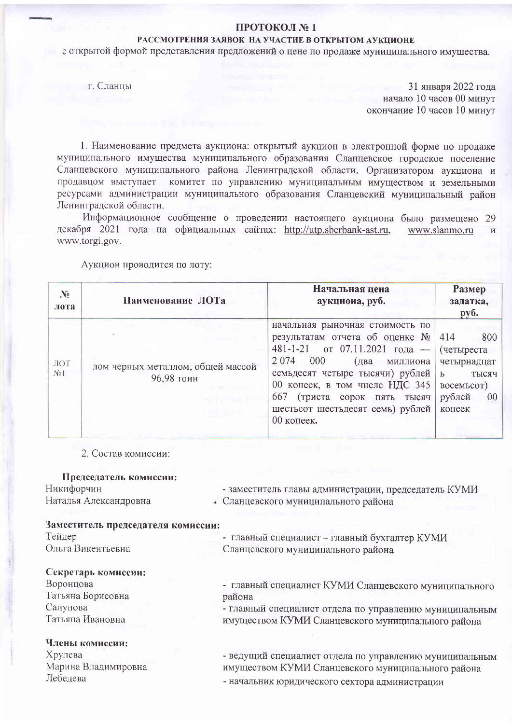# ПРОТОКОЛ №1

# РАССМОТРЕНИЯ ЗАЯВОК НА УЧАСТИЕ В ОТКРЫТОМ АУКЦИОНЕ

с открытой формой представления предложений о цене по продаже муниципального имущества.

г. Сланцы

31 января 2022 года начало 10 часов 00 минут окончание 10 часов 10 минут

1. Наименование предмета аукциона: открытый аукцион в электронной форме по продаже муниципального имущества муниципального образования Сланцевское городское поселение Сланцевского муниципального района Ленинградской области. Организатором аукциона и продавцом выступает комитет по управлению муниципальным имуществом и земельными ресурсами администрации муниципального образования Сланцевский муниципальный район Ленинградской области.

Информационное сообщение о проведении настоящего аукциона было размещено 29 декабря 2021 года на официальных сайтах: http://utp.sberbank-ast.ru, www.slanmo.ru www.torgi.gov.

Аукцион проводится по лоту:

| $\mathbf{N}_2$<br>лота | Наименование ЛОТа                               | Начальная цена<br>аукциона, руб.                                                                                                                                                                                                                                                                      | Размер<br>задатка,<br>руб.                                                                                   |
|------------------------|-------------------------------------------------|-------------------------------------------------------------------------------------------------------------------------------------------------------------------------------------------------------------------------------------------------------------------------------------------------------|--------------------------------------------------------------------------------------------------------------|
| ЛОТ<br>$N_2$           | лом черных металлом, общей массой<br>96,98 тонн | начальная рыночная стоимость по<br>результатам отчета об оценке №<br>481-1-21 от 07.11.2021 года —<br>2 0 7 4<br>000<br>(два<br>миллиона<br>семьдесят четыре тысячи) рублей  <br>00 копеек, в том числе НДС 345<br>667<br>(триста сорок пять тысяч)<br>шестьсот шестьдесят семь) рублей<br>00 копеек. | 414<br>800<br>(четыреста<br>четырнадцат<br>$\mathbf{P}$<br>тысяч<br>BOCEMBCOT)<br>рублей<br>$00\,$<br>копеек |

2. Состав комиссии:

| Председатель комиссии:             |                                                         |
|------------------------------------|---------------------------------------------------------|
| Никифорчин                         | - заместитель главы администрации, председатель КУМИ    |
| Наталья Александровна              | • Сланцевского муниципального района                    |
|                                    |                                                         |
| Заместитель председателя комиссии: |                                                         |
| Тейдер                             | - главный специалист - главный бухгалтер КУМИ           |
| Ольга Викентьевна                  | Сланцевского муниципального района                      |
| Секретарь комиссии:                |                                                         |
| Воронцова                          | - главный специалист КУМИ Сланцевского муниципального   |
| Татьяна Борисовна                  | района                                                  |
| Сапунова                           | - главный специалист отдела по управлению муниципальным |
| Татьяна Ивановна                   | имуществом КУМИ Сланцевского муниципального района      |
| Члены комиссии:                    |                                                         |
| Хрулева                            | - ведущий специалист отдела по управлению муниципальным |
| Марина Владимировна                | имуществом КУМИ Сланцевского муниципального района      |
| Лебедева                           | - начальник юридического сектора администрации          |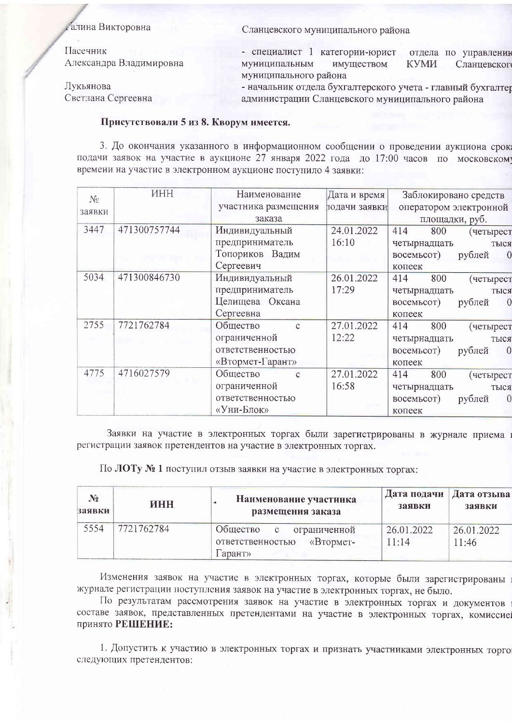### алина Викторовна

Пасечник Александра Владимировна

Лукьянова Светлана Сергеевна Сланцевского муниципального района

- специалист 1 категории-юрист отдела по управлении муниципальным имуществом **KYMM** Сланцевског муниципального района

- начальник отдела бухгалтерского учета - главный бухгалтер администрации Сланцевского муниципального района

#### Присутствовали 5 из 8. Кворум имеется.

3. До окончания указанного в информационном сообщении о проведении аукциона срок подачи заявок на участие в аукционе 27 января 2022 года до 17:00 часов по московском времени на участие в электронном аукционе поступило 4 заявки:

| $N_{2}$ | <b>HHH</b>   | Наименование             | Дата и время  | Заблокировано средств                  |
|---------|--------------|--------------------------|---------------|----------------------------------------|
| заявки  |              | участника размещения     | тодачи заявки | оператором электронной                 |
|         |              | заказа                   |               | площадки, руб.                         |
| 3447    | 471300757744 | Индивидуальный           | 24.01.2022    | 414<br>800<br>(четырест                |
|         |              | предприниматель          | 16:10         | четырнадцать<br>тыся                   |
|         |              | Топориков Вадим          |               | восемьсот)<br>рублей<br>$\overline{0}$ |
|         |              | Сергеевич                |               | копеек                                 |
| 5034    | 471300846730 | Индивидуальный           | 26.01.2022    | 800<br>414<br>(четырест                |
|         |              | предприниматель          | 17:29         | четырнадцать<br>тыся                   |
|         |              | Целищева Оксана          |               | восемьсот)<br>рублей<br>$\theta$       |
|         |              | Сергеевна                |               | копеек                                 |
| 2755    | 7721762784   | Общество<br>$\mathbf{C}$ | 27.01.2022    | 800<br>414<br>(четырест                |
|         |              | ограниченной             | 12:22         | четырнадцать<br>тыся                   |
|         |              | ответственностью         |               | $\overline{0}$<br>восемьсот)<br>рублей |
|         |              | «Втормет-Гарант»         |               | копеек                                 |
| 4775    | 4716027579   | Общество<br>$\mathbf{C}$ | 27.01.2022    | 800<br>414<br>(четырест                |
|         |              | ограниченной             | 16:58         | четырнадцать<br>тыся                   |
|         |              | ответственностью         |               | $\theta$<br>восемьсот)<br>рублей       |
|         |              | «Уни-Блок»               |               | копеек                                 |

Заявки на участие в электронных торгах были зарегистрированы в журнале приема регистрации заявок претендентов на участие в электронных торгах.

По ЛОТу № 1 поступил отзыв заявки на участие в электронных торгах:

| $N_2$  | ИНН        | Наименование участника                                                        | Дата подачи         | Дата отзыва         |
|--------|------------|-------------------------------------------------------------------------------|---------------------|---------------------|
| заявки |            | размещения заказа                                                             | заявки              | заявки              |
| 5554   | 7721762784 | Общество<br>с ограниченной<br>ответственностью<br>$\kappa$ BTOPMET-<br>apahty | 26.01.2022<br>11:14 | 26.01.2022<br>11:46 |

Изменения заявок на участие в электронных торгах, которые были зарегистрированы журнале регистрации поступления заявок на участие в электронных торгах, не было.

По результатам рассмотрения заявок на участие в электронных торгах и документов составе заявок, представленных претендентами на участие в электронных торгах, комиссие принято РЕШЕНИЕ:

1. Допустить к участию в электронных торгах и признать участниками электронных торго следующих претендентов: